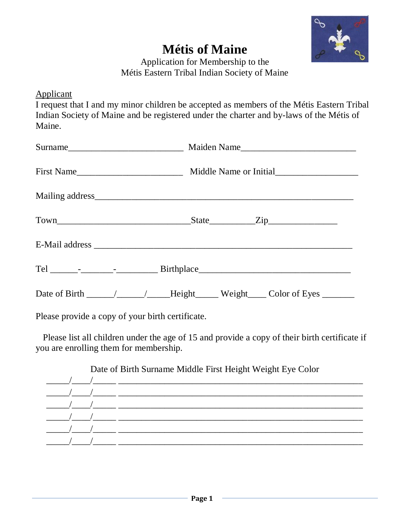

## **Métis of Maine**

Application for Membership to the Métis Eastern Tribal Indian Society of Maine

Applicant

I request that I and my minor children be accepted as members of the Métis Eastern Tribal Indian Society of Maine and be registered under the charter and by-laws of the Métis of Maine.

Please provide a copy of your birth certificate.

Please list all children under the age of 15 and provide a copy of their birth certificate if you are enrolling them for membership.

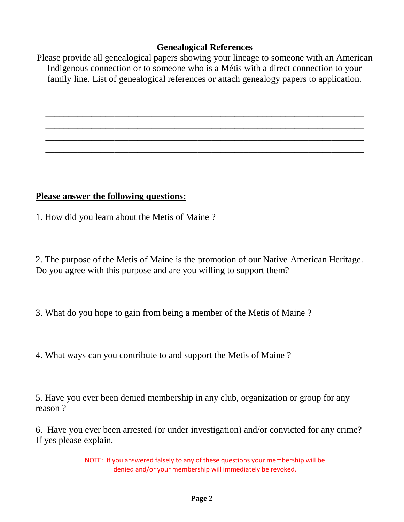## **Genealogical References**

Please provide all genealogical papers showing your lineage to someone with an American Indigenous connection or to someone who is a Métis with a direct connection to your family line. List of genealogical references or attach genealogy papers to application.

\_\_\_\_\_\_\_\_\_\_\_\_\_\_\_\_\_\_\_\_\_\_\_\_\_\_\_\_\_\_\_\_\_\_\_\_\_\_\_\_\_\_\_\_\_\_\_\_\_\_\_\_\_\_\_\_\_\_\_\_\_\_\_\_\_\_\_\_\_ \_\_\_\_\_\_\_\_\_\_\_\_\_\_\_\_\_\_\_\_\_\_\_\_\_\_\_\_\_\_\_\_\_\_\_\_\_\_\_\_\_\_\_\_\_\_\_\_\_\_\_\_\_\_\_\_\_\_\_\_\_\_\_\_\_\_\_\_\_ \_\_\_\_\_\_\_\_\_\_\_\_\_\_\_\_\_\_\_\_\_\_\_\_\_\_\_\_\_\_\_\_\_\_\_\_\_\_\_\_\_\_\_\_\_\_\_\_\_\_\_\_\_\_\_\_\_\_\_\_\_\_\_\_\_\_\_\_\_ \_\_\_\_\_\_\_\_\_\_\_\_\_\_\_\_\_\_\_\_\_\_\_\_\_\_\_\_\_\_\_\_\_\_\_\_\_\_\_\_\_\_\_\_\_\_\_\_\_\_\_\_\_\_\_\_\_\_\_\_\_\_\_\_\_\_\_\_\_ \_\_\_\_\_\_\_\_\_\_\_\_\_\_\_\_\_\_\_\_\_\_\_\_\_\_\_\_\_\_\_\_\_\_\_\_\_\_\_\_\_\_\_\_\_\_\_\_\_\_\_\_\_\_\_\_\_\_\_\_\_\_\_\_\_\_\_\_\_ \_\_\_\_\_\_\_\_\_\_\_\_\_\_\_\_\_\_\_\_\_\_\_\_\_\_\_\_\_\_\_\_\_\_\_\_\_\_\_\_\_\_\_\_\_\_\_\_\_\_\_\_\_\_\_\_\_\_\_\_\_\_\_\_\_\_\_\_\_ \_\_\_\_\_\_\_\_\_\_\_\_\_\_\_\_\_\_\_\_\_\_\_\_\_\_\_\_\_\_\_\_\_\_\_\_\_\_\_\_\_\_\_\_\_\_\_\_\_\_\_\_\_\_\_\_\_\_\_\_\_\_\_\_\_\_\_\_\_

## **Please answer the following questions:**

1. How did you learn about the Metis of Maine ?

2. The purpose of the Metis of Maine is the promotion of our Native American Heritage. Do you agree with this purpose and are you willing to support them?

3. What do you hope to gain from being a member of the Metis of Maine ?

4. What ways can you contribute to and support the Metis of Maine ?

5. Have you ever been denied membership in any club, organization or group for any reason ?

6. Have you ever been arrested (or under investigation) and/or convicted for any crime? If yes please explain.

> NOTE: If you answered falsely to any of these questions your membership will be denied and/or your membership will immediately be revoked.